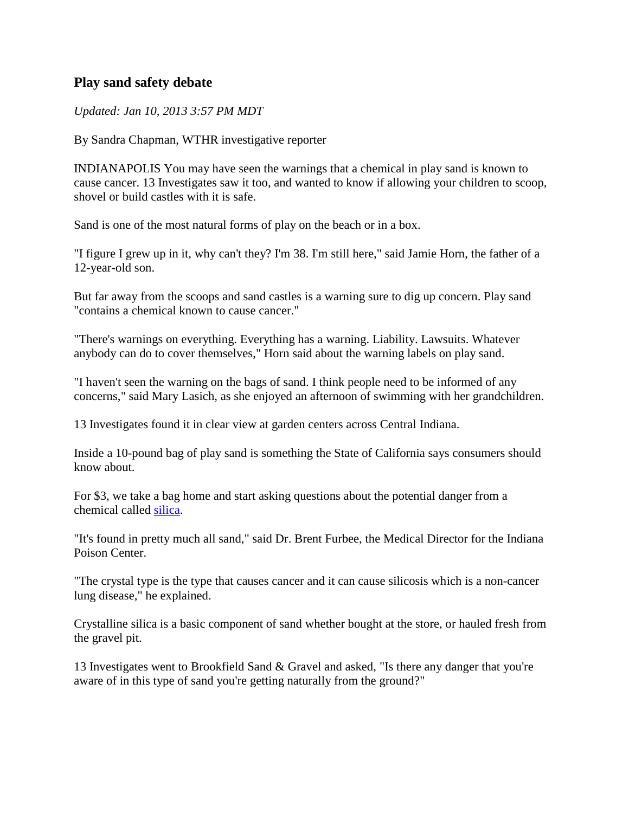## **Play sand safety debate**

## *Updated: Jan 10, 2013 3:57 PM MDT*

By Sandra Chapman, WTHR investigative reporter

INDIANAPOLIS You may have seen the warnings that a chemical in play sand is known to cause cancer. 13 Investigates saw it too, and wanted to know if allowing your children to scoop, shovel or build castles with it is safe.

Sand is one of the most natural forms of play on the beach or in a box.

"I figure I grew up in it, why can't they? I'm 38. I'm still here," said Jamie Horn, the father of a 12-year-old son.

But far away from the scoops and sand castles is a warning sure to dig up concern. Play sand "contains a chemical known to cause cancer."

"There's warnings on everything. Everything has a warning. Liability. Lawsuits. Whatever anybody can do to cover themselves," Horn said about the warning labels on play sand.

"I haven't seen the warning on the bags of sand. I think people need to be informed of any concerns," said Mary Lasich, as she enjoyed an afternoon of swimming with her grandchildren.

13 Investigates found it in clear view at garden centers across Central Indiana.

Inside a 10-pound bag of play sand is something the State of California says consumers should know about.

For \$3, we take a bag home and start asking questions about the potential danger from a chemical called [silica.](http://www.cdc.gov/niosh/awards/hamilton/pdfs/crystal-silica.pdf)

"It's found in pretty much all sand," said Dr. Brent Furbee, the Medical Director for the Indiana Poison Center.

"The crystal type is the type that causes cancer and it can cause silicosis which is a non-cancer lung disease," he explained.

Crystalline silica is a basic component of sand whether bought at the store, or hauled fresh from the gravel pit.

13 Investigates went to Brookfield Sand & Gravel and asked, "Is there any danger that you're aware of in this type of sand you're getting naturally from the ground?"